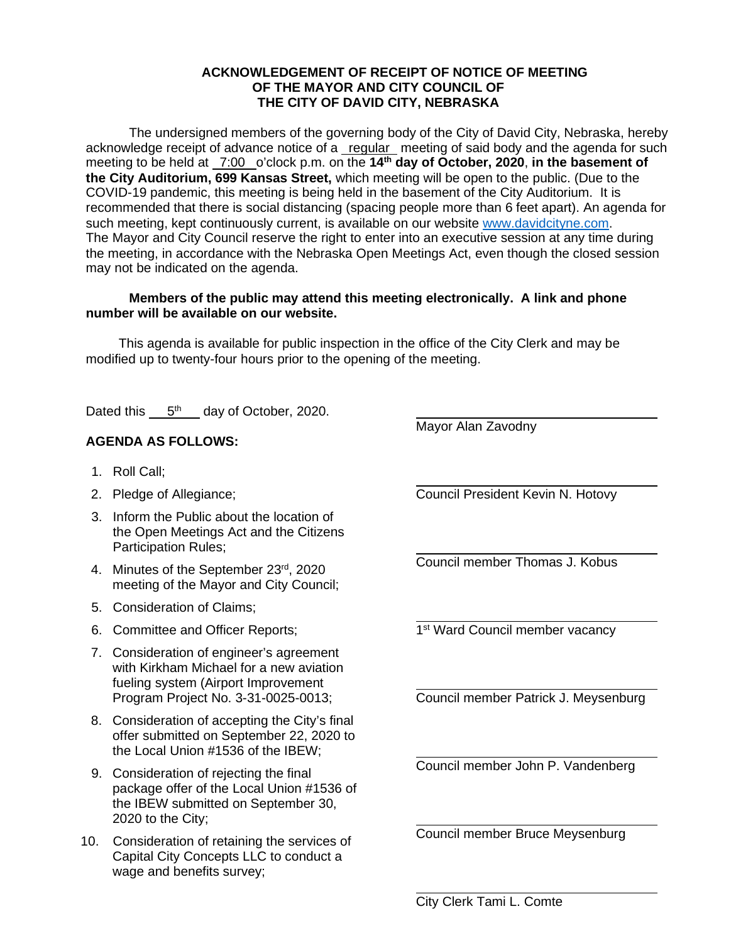## **ACKNOWLEDGEMENT OF RECEIPT OF NOTICE OF MEETING OF THE MAYOR AND CITY COUNCIL OF THE CITY OF DAVID CITY, NEBRASKA**

The undersigned members of the governing body of the City of David City, Nebraska, hereby acknowledge receipt of advance notice of a regular meeting of said body and the agenda for such meeting to be held at 7:00 o'clock p.m. on the **14th day of October, 2020**, **in the basement of the City Auditorium, 699 Kansas Street,** which meeting will be open to the public. (Due to the COVID-19 pandemic, this meeting is being held in the basement of the City Auditorium. It is recommended that there is social distancing (spacing people more than 6 feet apart). An agenda for such meeting, kept continuously current, is available on our website [www.davidcityne.com.](https://urldefense.proofpoint.com/v2/url?u=http-3A__www.davidcityne.com&d=DwMFAg&c=UCja3IwhyjPGYeHcG7oIbg&r=sTF4AptKcZUvAdPZH__AgXD7wYT5PTsm1dL8p3vwYO4&m=H_1JksRqSJf69XA0HV8uDjtaNsM1PhWMo-DkTNHrSaE&s=wLyFni_YrhiWLHduEQzSflZL77e5AtnnCpVJ-weajcE&e=) The Mayor and City Council reserve the right to enter into an executive session at any time during the meeting, in accordance with the Nebraska Open Meetings Act, even though the closed session may not be indicated on the agenda.

## **Members of the public may attend this meeting electronically. A link and phone number will be available on our website.**

This agenda is available for public inspection in the office of the City Clerk and may be modified up to twenty-four hours prior to the opening of the meeting.

Dated this  $5<sup>th</sup>$  day of October, 2020.

## **AGENDA AS FOLLOWS:**

- 1. Roll Call;
- 2. Pledge of Allegiance;
- 3. Inform the Public about the location of the Open Meetings Act and the Citizens Participation Rules;
- 4. Minutes of the September 23rd, 2020 meeting of the Mayor and City Council;
- 5. Consideration of Claims;
- 6. Committee and Officer Reports;
- 7. Consideration of engineer's agreement with Kirkham Michael for a new aviation fueling system (Airport Improvement Program Project No. 3-31-0025-0013;
- 8. Consideration of accepting the City's final offer submitted on September 22, 2020 to the Local Union #1536 of the IBEW;
- 9. Consideration of rejecting the final package offer of the Local Union #1536 of the IBEW submitted on September 30, 2020 to the City;
- 10. Consideration of retaining the services of Capital City Concepts LLC to conduct a wage and benefits survey;

Mayor Alan Zavodny

 $\overline{a}$ 

 $\overline{a}$ 

 $\overline{a}$ 

 $\overline{a}$ 

 $\overline{a}$ Council President Kevin N. Hotovy

 $\overline{a}$ Council member Thomas J. Kobus

 $\overline{a}$ 1<sup>st</sup> Ward Council member vacancy

 $\overline{a}$ Council member Patrick J. Meysenburg

Council member John P. Vandenberg

Council member Bruce Meysenburg